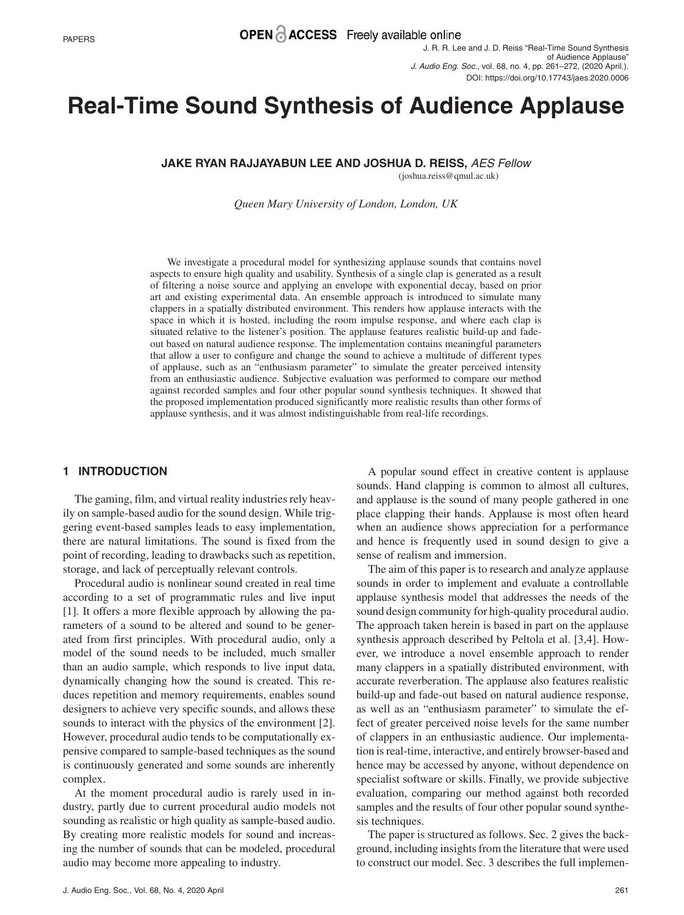J. R. R. Lee and J. D. Reiss "Real-Time Sound Synthesis of Audience Applause" *J. Audio Eng. Soc.*, vol. 68, no. 4, pp. 261–272, (2020 April.). DOI: https://doi.org/10.17743/jaes.2020.0006

# **Real-Time Sound Synthesis of Audience Applause**

**JAKE RYAN RAJJAYABUN LEE AND JOSHUA D. REISS,** *AES Fellow*

(joshua.reiss@qmul.ac.uk)

*Queen Mary University of London, London, UK*

We investigate a procedural model for synthesizing applause sounds that contains novel aspects to ensure high quality and usability. Synthesis of a single clap is generated as a result of filtering a noise source and applying an envelope with exponential decay, based on prior art and existing experimental data. An ensemble approach is introduced to simulate many clappers in a spatially distributed environment. This renders how applause interacts with the space in which it is hosted, including the room impulse response, and where each clap is situated relative to the listener's position. The applause features realistic build-up and fadeout based on natural audience response. The implementation contains meaningful parameters that allow a user to configure and change the sound to achieve a multitude of different types of applause, such as an "enthusiasm parameter" to simulate the greater perceived intensity from an enthusiastic audience. Subjective evaluation was performed to compare our method against recorded samples and four other popular sound synthesis techniques. It showed that the proposed implementation produced significantly more realistic results than other forms of applause synthesis, and it was almost indistinguishable from real-life recordings.

# **1 INTRODUCTION**

The gaming, film, and virtual reality industries rely heavily on sample-based audio for the sound design. While triggering event-based samples leads to easy implementation, there are natural limitations. The sound is fixed from the point of recording, leading to drawbacks such as repetition, storage, and lack of perceptually relevant controls.

Procedural audio is nonlinear sound created in real time according to a set of programmatic rules and live input [1]. It offers a more flexible approach by allowing the parameters of a sound to be altered and sound to be generated from first principles. With procedural audio, only a model of the sound needs to be included, much smaller than an audio sample, which responds to live input data, dynamically changing how the sound is created. This reduces repetition and memory requirements, enables sound designers to achieve very specific sounds, and allows these sounds to interact with the physics of the environment [2]. However, procedural audio tends to be computationally expensive compared to sample-based techniques as the sound is continuously generated and some sounds are inherently complex.

At the moment procedural audio is rarely used in industry, partly due to current procedural audio models not sounding as realistic or high quality as sample-based audio. By creating more realistic models for sound and increasing the number of sounds that can be modeled, procedural audio may become more appealing to industry.

sounds. Hand clapping is common to almost all cultures, and applause is the sound of many people gathered in one place clapping their hands. Applause is most often heard when an audience shows appreciation for a performance and hence is frequently used in sound design to give a sense of realism and immersion. The aim of this paper is to research and analyze applause

A popular sound effect in creative content is applause

sounds in order to implement and evaluate a controllable applause synthesis model that addresses the needs of the sound design community for high-quality procedural audio. The approach taken herein is based in part on the applause synthesis approach described by Peltola et al. [3,4]. However, we introduce a novel ensemble approach to render many clappers in a spatially distributed environment, with accurate reverberation. The applause also features realistic build-up and fade-out based on natural audience response, as well as an "enthusiasm parameter" to simulate the effect of greater perceived noise levels for the same number of clappers in an enthusiastic audience. Our implementation is real-time, interactive, and entirely browser-based and hence may be accessed by anyone, without dependence on specialist software or skills. Finally, we provide subjective evaluation, comparing our method against both recorded samples and the results of four other popular sound synthesis techniques.

The paper is structured as follows. Sec. 2 gives the background, including insights from the literature that were used to construct our model. Sec. 3 describes the full implemen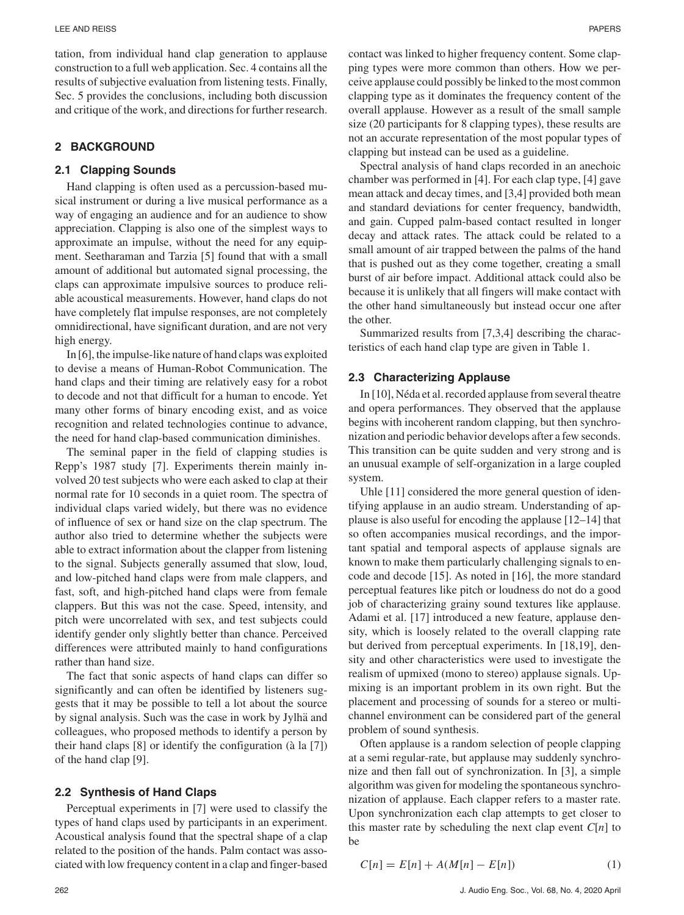tation, from individual hand clap generation to applause construction to a full web application. Sec. 4 contains all the results of subjective evaluation from listening tests. Finally, Sec. 5 provides the conclusions, including both discussion and critique of the work, and directions for further research.

# **2 BACKGROUND**

#### **2.1 Clapping Sounds**

Hand clapping is often used as a percussion-based musical instrument or during a live musical performance as a way of engaging an audience and for an audience to show appreciation. Clapping is also one of the simplest ways to approximate an impulse, without the need for any equipment. Seetharaman and Tarzia [5] found that with a small amount of additional but automated signal processing, the claps can approximate impulsive sources to produce reliable acoustical measurements. However, hand claps do not have completely flat impulse responses, are not completely omnidirectional, have significant duration, and are not very high energy.

In [6], the impulse-like nature of hand claps was exploited to devise a means of Human-Robot Communication. The hand claps and their timing are relatively easy for a robot to decode and not that difficult for a human to encode. Yet many other forms of binary encoding exist, and as voice recognition and related technologies continue to advance, the need for hand clap-based communication diminishes.

The seminal paper in the field of clapping studies is Repp's 1987 study [7]. Experiments therein mainly involved 20 test subjects who were each asked to clap at their normal rate for 10 seconds in a quiet room. The spectra of individual claps varied widely, but there was no evidence of influence of sex or hand size on the clap spectrum. The author also tried to determine whether the subjects were able to extract information about the clapper from listening to the signal. Subjects generally assumed that slow, loud, and low-pitched hand claps were from male clappers, and fast, soft, and high-pitched hand claps were from female clappers. But this was not the case. Speed, intensity, and pitch were uncorrelated with sex, and test subjects could identify gender only slightly better than chance. Perceived differences were attributed mainly to hand configurations rather than hand size.

The fact that sonic aspects of hand claps can differ so significantly and can often be identified by listeners suggests that it may be possible to tell a lot about the source by signal analysis. Such was the case in work by Jylhä and colleagues, who proposed methods to identify a person by their hand claps  $[8]$  or identify the configuration (à la  $[7]$ ) of the hand clap [9].

#### **2.2 Synthesis of Hand Claps**

Perceptual experiments in [7] were used to classify the types of hand claps used by participants in an experiment. Acoustical analysis found that the spectral shape of a clap related to the position of the hands. Palm contact was associated with low frequency content in a clap and finger-based contact was linked to higher frequency content. Some clapping types were more common than others. How we perceive applause could possibly be linked to the most common clapping type as it dominates the frequency content of the overall applause. However as a result of the small sample size (20 participants for 8 clapping types), these results are not an accurate representation of the most popular types of clapping but instead can be used as a guideline.

Spectral analysis of hand claps recorded in an anechoic chamber was performed in [4]. For each clap type, [4] gave mean attack and decay times, and [3,4] provided both mean and standard deviations for center frequency, bandwidth, and gain. Cupped palm-based contact resulted in longer decay and attack rates. The attack could be related to a small amount of air trapped between the palms of the hand that is pushed out as they come together, creating a small burst of air before impact. Additional attack could also be because it is unlikely that all fingers will make contact with the other hand simultaneously but instead occur one after the other.

Summarized results from [7,3,4] describing the characteristics of each hand clap type are given in Table 1.

#### **2.3 Characterizing Applause**

In [10], Néda et al. recorded applause from several theatre and opera performances. They observed that the applause begins with incoherent random clapping, but then synchronization and periodic behavior develops after a few seconds. This transition can be quite sudden and very strong and is an unusual example of self-organization in a large coupled system.

Uhle [11] considered the more general question of identifying applause in an audio stream. Understanding of applause is also useful for encoding the applause [12–14] that so often accompanies musical recordings, and the important spatial and temporal aspects of applause signals are known to make them particularly challenging signals to encode and decode [15]. As noted in [16], the more standard perceptual features like pitch or loudness do not do a good job of characterizing grainy sound textures like applause. Adami et al. [17] introduced a new feature, applause density, which is loosely related to the overall clapping rate but derived from perceptual experiments. In [18,19], density and other characteristics were used to investigate the realism of upmixed (mono to stereo) applause signals. Upmixing is an important problem in its own right. But the placement and processing of sounds for a stereo or multichannel environment can be considered part of the general problem of sound synthesis.

Often applause is a random selection of people clapping at a semi regular-rate, but applause may suddenly synchronize and then fall out of synchronization. In [3], a simple algorithm was given for modeling the spontaneous synchronization of applause. Each clapper refers to a master rate. Upon synchronization each clap attempts to get closer to this master rate by scheduling the next clap event  $C[n]$  to be

$$
C[n] = E[n] + A(M[n] - E[n])
$$
 (1)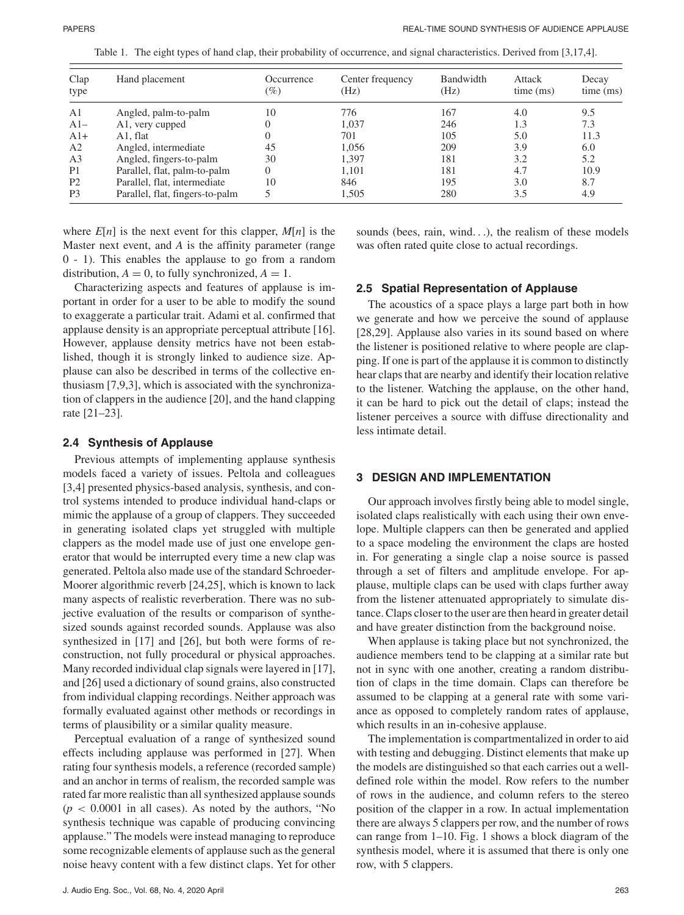| Clap<br>type   | Hand placement                  | Occurrence<br>$(\%)$ | Center frequency<br>(Hz) | Bandwidth<br>(Hz) | Attack<br>time (ms) | Decay<br>time (ms) |
|----------------|---------------------------------|----------------------|--------------------------|-------------------|---------------------|--------------------|
| A <sub>1</sub> | Angled, palm-to-palm            | 10                   | 776                      | 167               | 4.0                 | 9.5                |
| $A1-$          | A1, very cupped                 |                      | 1.037                    | 246               | 1.3                 | 7.3                |
| $A1+$          | A1. flat                        |                      | 701                      | 105               | 5.0                 | 11.3               |
| A <sub>2</sub> | Angled, intermediate            | 45                   | 1.056                    | 209               | 3.9                 | 6.0                |
| A <sub>3</sub> | Angled, fingers-to-palm         | 30                   | 1.397                    | 181               | 3.2                 | 5.2                |
| P <sub>1</sub> | Parallel, flat, palm-to-palm    |                      | 1.101                    | 181               | 4.7                 | 10.9               |
| P <sub>2</sub> | Parallel, flat, intermediate    | 10                   | 846                      | 195               | 3.0                 | 8.7                |
| P <sub>3</sub> | Parallel, flat, fingers-to-palm |                      | 1.505                    | 280               | 3.5                 | 4.9                |

Table 1. The eight types of hand clap, their probability of occurrence, and signal characteristics. Derived from [3,17,4].

where  $E[n]$  is the next event for this clapper,  $M[n]$  is the Master next event, and *A* is the affinity parameter (range 0 - 1). This enables the applause to go from a random distribution,  $A = 0$ , to fully synchronized,  $A = 1$ .

Characterizing aspects and features of applause is important in order for a user to be able to modify the sound to exaggerate a particular trait. Adami et al. confirmed that applause density is an appropriate perceptual attribute [16]. However, applause density metrics have not been established, though it is strongly linked to audience size. Applause can also be described in terms of the collective enthusiasm [7,9,3], which is associated with the synchronization of clappers in the audience [20], and the hand clapping rate [21–23].

#### **2.4 Synthesis of Applause**

Previous attempts of implementing applause synthesis models faced a variety of issues. Peltola and colleagues [3,4] presented physics-based analysis, synthesis, and control systems intended to produce individual hand-claps or mimic the applause of a group of clappers. They succeeded in generating isolated claps yet struggled with multiple clappers as the model made use of just one envelope generator that would be interrupted every time a new clap was generated. Peltola also made use of the standard Schroeder-Moorer algorithmic reverb [24,25], which is known to lack many aspects of realistic reverberation. There was no subjective evaluation of the results or comparison of synthesized sounds against recorded sounds. Applause was also synthesized in [17] and [26], but both were forms of reconstruction, not fully procedural or physical approaches. Many recorded individual clap signals were layered in [17], and [26] used a dictionary of sound grains, also constructed from individual clapping recordings. Neither approach was formally evaluated against other methods or recordings in terms of plausibility or a similar quality measure.

Perceptual evaluation of a range of synthesized sound effects including applause was performed in [27]. When rating four synthesis models, a reference (recorded sample) and an anchor in terms of realism, the recorded sample was rated far more realistic than all synthesized applause sounds  $(p < 0.0001$  in all cases). As noted by the authors, "No synthesis technique was capable of producing convincing applause." The models were instead managing to reproduce some recognizable elements of applause such as the general noise heavy content with a few distinct claps. Yet for other sounds (bees, rain, wind...), the realism of these models was often rated quite close to actual recordings.

#### **2.5 Spatial Representation of Applause**

The acoustics of a space plays a large part both in how we generate and how we perceive the sound of applause [28,29]. Applause also varies in its sound based on where the listener is positioned relative to where people are clapping. If one is part of the applause it is common to distinctly hear claps that are nearby and identify their location relative to the listener. Watching the applause, on the other hand, it can be hard to pick out the detail of claps; instead the listener perceives a source with diffuse directionality and less intimate detail.

#### **3 DESIGN AND IMPLEMENTATION**

Our approach involves firstly being able to model single, isolated claps realistically with each using their own envelope. Multiple clappers can then be generated and applied to a space modeling the environment the claps are hosted in. For generating a single clap a noise source is passed through a set of filters and amplitude envelope. For applause, multiple claps can be used with claps further away from the listener attenuated appropriately to simulate distance. Claps closer to the user are then heard in greater detail and have greater distinction from the background noise.

When applause is taking place but not synchronized, the audience members tend to be clapping at a similar rate but not in sync with one another, creating a random distribution of claps in the time domain. Claps can therefore be assumed to be clapping at a general rate with some variance as opposed to completely random rates of applause, which results in an in-cohesive applause.

The implementation is compartmentalized in order to aid with testing and debugging. Distinct elements that make up the models are distinguished so that each carries out a welldefined role within the model. Row refers to the number of rows in the audience, and column refers to the stereo position of the clapper in a row. In actual implementation there are always 5 clappers per row, and the number of rows can range from 1–10. Fig. 1 shows a block diagram of the synthesis model, where it is assumed that there is only one row, with 5 clappers.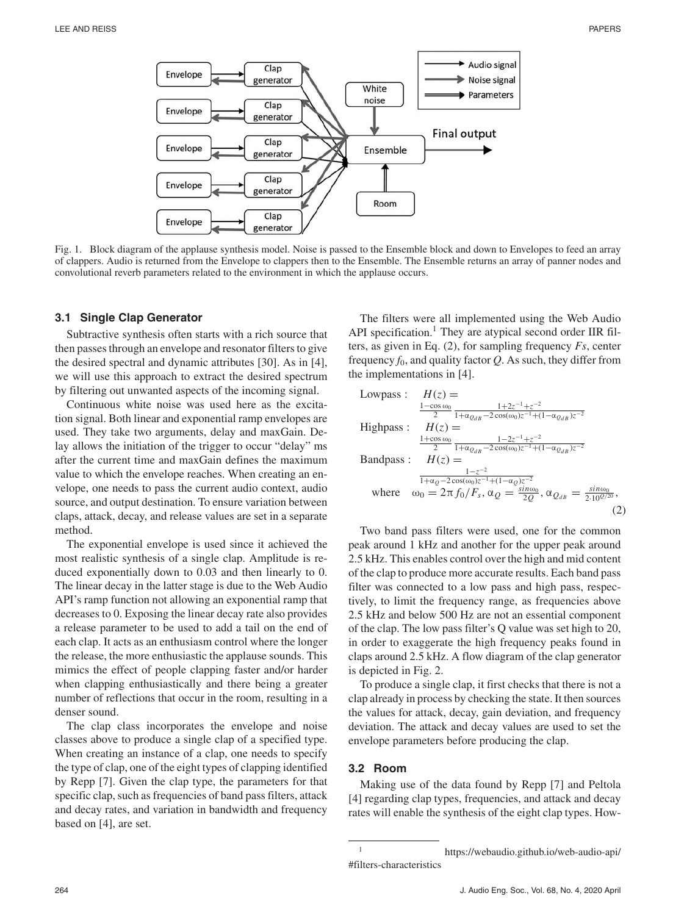

Fig. 1. Block diagram of the applause synthesis model. Noise is passed to the Ensemble block and down to Envelopes to feed an array of clappers. Audio is returned from the Envelope to clappers then to the Ensemble. The Ensemble returns an array of panner nodes and convolutional reverb parameters related to the environment in which the applause occurs.

#### **3.1 Single Clap Generator**

Subtractive synthesis often starts with a rich source that then passes through an envelope and resonator filters to give the desired spectral and dynamic attributes [30]. As in [4], we will use this approach to extract the desired spectrum by filtering out unwanted aspects of the incoming signal.

Continuous white noise was used here as the excitation signal. Both linear and exponential ramp envelopes are used. They take two arguments, delay and maxGain. Delay allows the initiation of the trigger to occur "delay" ms after the current time and maxGain defines the maximum value to which the envelope reaches. When creating an envelope, one needs to pass the current audio context, audio source, and output destination. To ensure variation between claps, attack, decay, and release values are set in a separate method.

The exponential envelope is used since it achieved the most realistic synthesis of a single clap. Amplitude is reduced exponentially down to 0.03 and then linearly to 0. The linear decay in the latter stage is due to the Web Audio API's ramp function not allowing an exponential ramp that decreases to 0. Exposing the linear decay rate also provides a release parameter to be used to add a tail on the end of each clap. It acts as an enthusiasm control where the longer the release, the more enthusiastic the applause sounds. This mimics the effect of people clapping faster and/or harder when clapping enthusiastically and there being a greater number of reflections that occur in the room, resulting in a denser sound.

The clap class incorporates the envelope and noise classes above to produce a single clap of a specified type. When creating an instance of a clap, one needs to specify the type of clap, one of the eight types of clapping identified by Repp [7]. Given the clap type, the parameters for that specific clap, such as frequencies of band pass filters, attack and decay rates, and variation in bandwidth and frequency based on [4], are set.

The filters were all implemented using the Web Audio API specification.<sup>1</sup> They are atypical second order IIR filters, as given in Eq. (2), for sampling frequency *Fs*, center frequency  $f_0$ , and quality factor  $Q$ . As such, they differ from the implementations in [4].

Lowpass: 
$$
H(z) = \frac{1-\cos \omega_0}{2} \frac{1+2z^{-1}+z^{-2}}{1+\alpha_{QdB}-2\cos(\omega_0)z^{-1}+(1-\alpha_{QdB})z^{-2}}
$$
  
\nHighpass:  $H(z) = \frac{1+\cos \omega_0}{2} \frac{1-2z^{-1}+z^{-2}}{1+\alpha_{QdB}-2\cos(\omega_0)z^{-1}+(1-\alpha_{QdB})z^{-2}}$   
\nBandpass:  $H(z) = \frac{1-z^{-2}}{1+\alpha_Q-2\cos(\omega_0)z^{-1}+(1-\alpha_Q)z^{-2}}$   
\nwhere  $\omega_0 = 2\pi f_0/F_s$ ,  $\alpha_Q = \frac{\sin \omega_0}{2Q}$ ,  $\alpha_{QdB} = \frac{\sin \omega_0}{2.10^{Q/20}}$ , (2)

Two band pass filters were used, one for the common peak around 1 kHz and another for the upper peak around 2.5 kHz. This enables control over the high and mid content of the clap to produce more accurate results. Each band pass filter was connected to a low pass and high pass, respectively, to limit the frequency range, as frequencies above 2.5 kHz and below 500 Hz are not an essential component of the clap. The low pass filter's Q value was set high to 20, in order to exaggerate the high frequency peaks found in claps around 2.5 kHz. A flow diagram of the clap generator is depicted in Fig. 2.

To produce a single clap, it first checks that there is not a clap already in process by checking the state. It then sources the values for attack, decay, gain deviation, and frequency deviation. The attack and decay values are used to set the envelope parameters before producing the clap.

#### **3.2 Room**

Making use of the data found by Repp [7] and Peltola [4] regarding clap types, frequencies, and attack and decay rates will enable the synthesis of the eight clap types. How-

https://webaudio.github.io/web-audio-api/ #filters-characteristics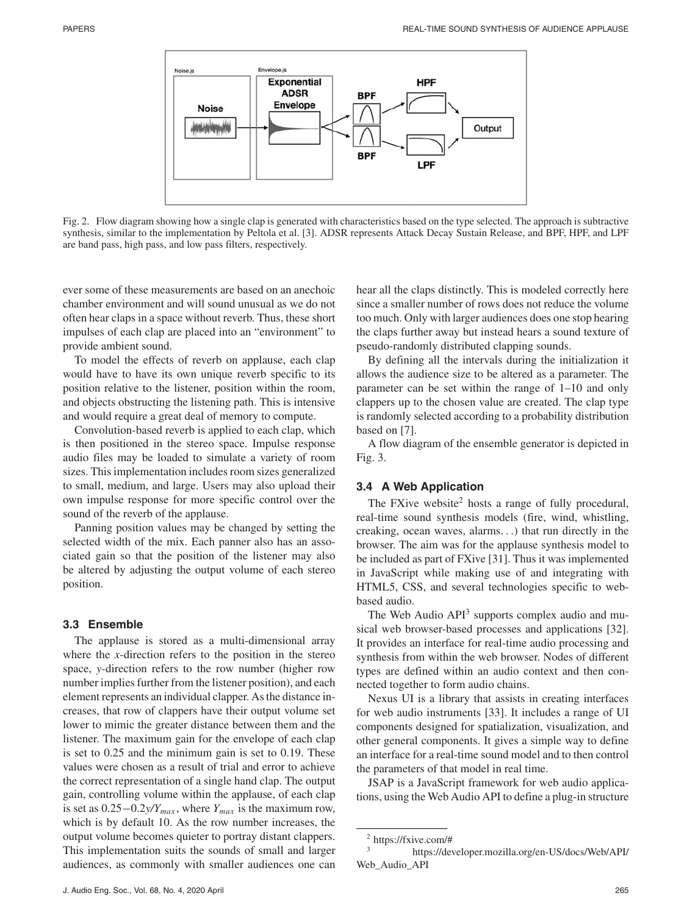

Fig. 2. Flow diagram showing how a single clap is generated with characteristics based on the type selected. The approach is subtractive synthesis, similar to the implementation by Peltola et al. [3]. ADSR represents Attack Decay Sustain Release, and BPF, HPF, and LPF are band pass, high pass, and low pass filters, respectively.

ever some of these measurements are based on an anechoic chamber environment and will sound unusual as we do not often hear claps in a space without reverb. Thus, these short impulses of each clap are placed into an "environment" to provide ambient sound.

To model the effects of reverb on applause, each clap would have to have its own unique reverb specific to its position relative to the listener, position within the room, and objects obstructing the listening path. This is intensive and would require a great deal of memory to compute.

Convolution-based reverb is applied to each clap, which is then positioned in the stereo space. Impulse response audio files may be loaded to simulate a variety of room sizes. This implementation includes room sizes generalized to small, medium, and large. Users may also upload their own impulse response for more specific control over the sound of the reverb of the applause.

Panning position values may be changed by setting the selected width of the mix. Each panner also has an associated gain so that the position of the listener may also be altered by adjusting the output volume of each stereo position.

#### **3.3 Ensemble**

The applause is stored as a multi-dimensional array where the *x*-direction refers to the position in the stereo space, *y*-direction refers to the row number (higher row number implies further from the listener position), and each element represents an individual clapper. As the distance increases, that row of clappers have their output volume set lower to mimic the greater distance between them and the listener. The maximum gain for the envelope of each clap is set to 0.25 and the minimum gain is set to 0.19. These values were chosen as a result of trial and error to achieve the correct representation of a single hand clap. The output gain, controlling volume within the applause, of each clap is set as 0.25−0.2*y/Ymax* , where *Ymax* is the maximum row, which is by default 10. As the row number increases, the output volume becomes quieter to portray distant clappers. This implementation suits the sounds of small and larger audiences, as commonly with smaller audiences one can

hear all the claps distinctly. This is modeled correctly here since a smaller number of rows does not reduce the volume too much. Only with larger audiences does one stop hearing the claps further away but instead hears a sound texture of pseudo-randomly distributed clapping sounds.

By defining all the intervals during the initialization it allows the audience size to be altered as a parameter. The parameter can be set within the range of 1–10 and only clappers up to the chosen value are created. The clap type is randomly selected according to a probability distribution based on [7].

A flow diagram of the ensemble generator is depicted in Fig. 3.

# **3.4 A Web Application**

The FXive website<sup>2</sup> hosts a range of fully procedural, real-time sound synthesis models (fire, wind, whistling, creaking, ocean waves, alarms...) that run directly in the browser. The aim was for the applause synthesis model to be included as part of FXive [31]. Thus it was implemented in JavaScript while making use of and integrating with HTML5, CSS, and several technologies specific to webbased audio.

The Web Audio  $API<sup>3</sup>$  supports complex audio and musical web browser-based processes and applications [32]. It provides an interface for real-time audio processing and synthesis from within the web browser. Nodes of different types are defined within an audio context and then connected together to form audio chains.

Nexus UI is a library that assists in creating interfaces for web audio instruments [33]. It includes a range of UI components designed for spatialization, visualization, and other general components. It gives a simple way to define an interface for a real-time sound model and to then control the parameters of that model in real time.

JSAP is a JavaScript framework for web audio applications, using the Web Audio API to define a plug-in structure

 $^{2}$  https://fxive.com/#

<sup>3</sup> https://developer.mozilla.org/en-US/docs/Web/API/ Web\_Audio\_API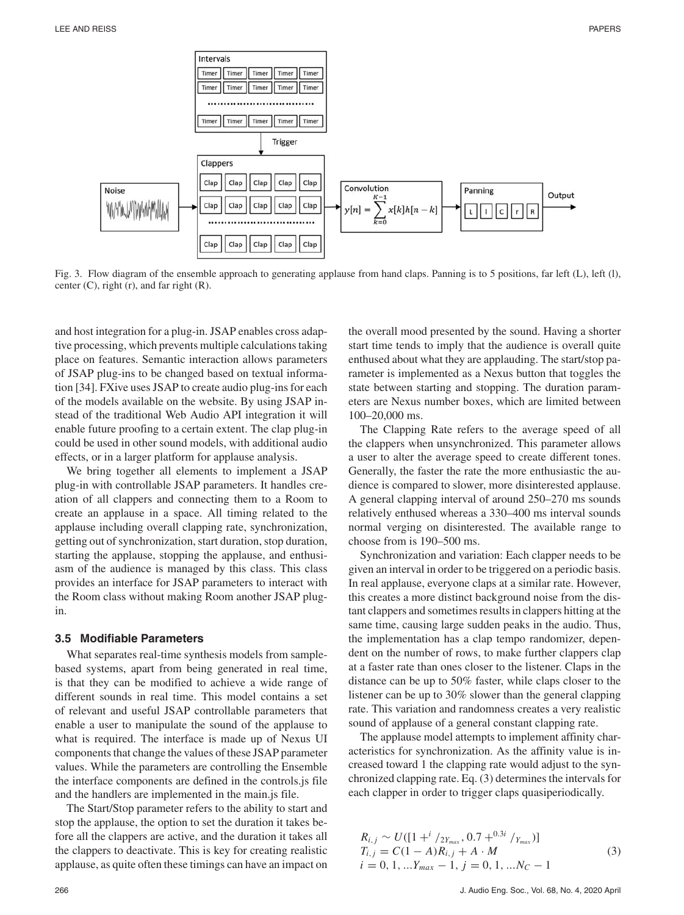

Fig. 3. Flow diagram of the ensemble approach to generating applause from hand claps. Panning is to 5 positions, far left (L), left (I), center  $(C)$ , right  $(r)$ , and far right  $(R)$ .

and host integration for a plug-in. JSAP enables cross adaptive processing, which prevents multiple calculations taking place on features. Semantic interaction allows parameters of JSAP plug-ins to be changed based on textual information [34]. FXive uses JSAP to create audio plug-ins for each of the models available on the website. By using JSAP instead of the traditional Web Audio API integration it will enable future proofing to a certain extent. The clap plug-in could be used in other sound models, with additional audio effects, or in a larger platform for applause analysis.

We bring together all elements to implement a JSAP plug-in with controllable JSAP parameters. It handles creation of all clappers and connecting them to a Room to create an applause in a space. All timing related to the applause including overall clapping rate, synchronization, getting out of synchronization, start duration, stop duration, starting the applause, stopping the applause, and enthusiasm of the audience is managed by this class. This class provides an interface for JSAP parameters to interact with the Room class without making Room another JSAP plugin.

#### **3.5 Modifiable Parameters**

What separates real-time synthesis models from samplebased systems, apart from being generated in real time, is that they can be modified to achieve a wide range of different sounds in real time. This model contains a set of relevant and useful JSAP controllable parameters that enable a user to manipulate the sound of the applause to what is required. The interface is made up of Nexus UI components that change the values of these JSAP parameter values. While the parameters are controlling the Ensemble the interface components are defined in the controls.js file and the handlers are implemented in the main.js file.

The Start/Stop parameter refers to the ability to start and stop the applause, the option to set the duration it takes before all the clappers are active, and the duration it takes all the clappers to deactivate. This is key for creating realistic applause, as quite often these timings can have an impact on

the overall mood presented by the sound. Having a shorter start time tends to imply that the audience is overall quite enthused about what they are applauding. The start/stop parameter is implemented as a Nexus button that toggles the state between starting and stopping. The duration parameters are Nexus number boxes, which are limited between 100–20,000 ms.

The Clapping Rate refers to the average speed of all the clappers when unsynchronized. This parameter allows a user to alter the average speed to create different tones. Generally, the faster the rate the more enthusiastic the audience is compared to slower, more disinterested applause. A general clapping interval of around 250–270 ms sounds relatively enthused whereas a 330–400 ms interval sounds normal verging on disinterested. The available range to choose from is 190–500 ms.

Synchronization and variation: Each clapper needs to be given an interval in order to be triggered on a periodic basis. In real applause, everyone claps at a similar rate. However, this creates a more distinct background noise from the distant clappers and sometimes results in clappers hitting at the same time, causing large sudden peaks in the audio. Thus, the implementation has a clap tempo randomizer, dependent on the number of rows, to make further clappers clap at a faster rate than ones closer to the listener. Claps in the distance can be up to 50% faster, while claps closer to the listener can be up to 30% slower than the general clapping rate. This variation and randomness creates a very realistic sound of applause of a general constant clapping rate.

The applause model attempts to implement affinity characteristics for synchronization. As the affinity value is increased toward 1 the clapping rate would adjust to the synchronized clapping rate. Eq. (3) determines the intervals for each clapper in order to trigger claps quasiperiodically.

$$
R_{i,j} \sim U([1 + i / 2Y_{max}, 0.7 + 0.3i / Y_{max})]
$$
  
\n
$$
T_{i,j} = C(1 - A)R_{i,j} + A \cdot M
$$
  
\n
$$
i = 0, 1, ... Y_{max} - 1, j = 0, 1, ...N_C - 1
$$
\n(3)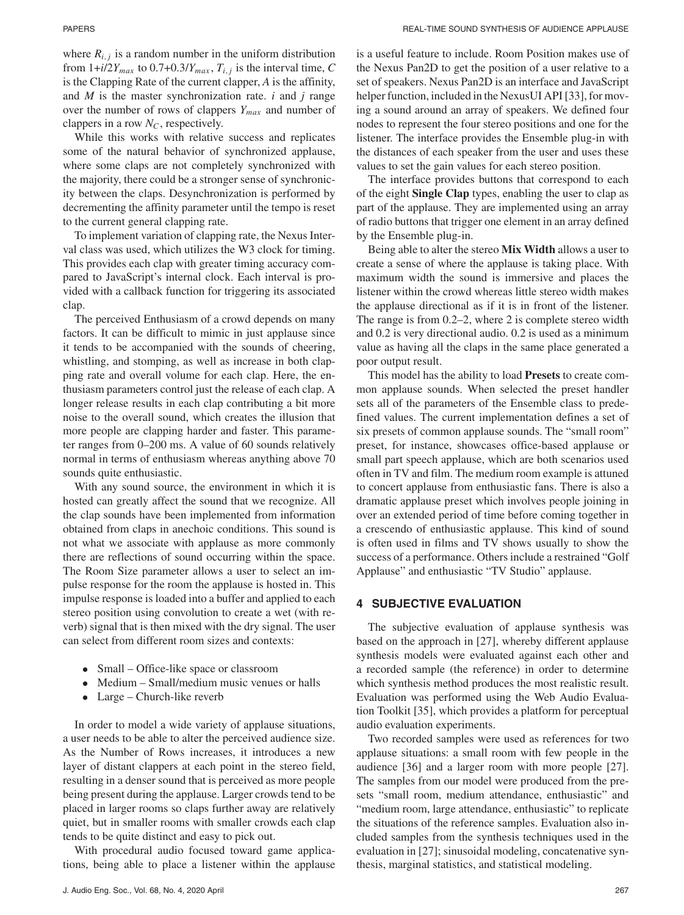where  $R_{i,j}$  is a random number in the uniform distribution from  $1+i/2Y_{max}$  to  $0.7+0.3/Y_{max}$ ,  $T_{i,j}$  is the interval time, C is the Clapping Rate of the current clapper, *A* is the affinity, and *M* is the master synchronization rate. *i* and *j* range over the number of rows of clappers *Ymax* and number of clappers in a row  $N_C$ , respectively.

While this works with relative success and replicates some of the natural behavior of synchronized applause, where some claps are not completely synchronized with the majority, there could be a stronger sense of synchronicity between the claps. Desynchronization is performed by decrementing the affinity parameter until the tempo is reset to the current general clapping rate.

To implement variation of clapping rate, the Nexus Interval class was used, which utilizes the W3 clock for timing. This provides each clap with greater timing accuracy compared to JavaScript's internal clock. Each interval is provided with a callback function for triggering its associated clap.

The perceived Enthusiasm of a crowd depends on many factors. It can be difficult to mimic in just applause since it tends to be accompanied with the sounds of cheering, whistling, and stomping, as well as increase in both clapping rate and overall volume for each clap. Here, the enthusiasm parameters control just the release of each clap. A longer release results in each clap contributing a bit more noise to the overall sound, which creates the illusion that more people are clapping harder and faster. This parameter ranges from 0–200 ms. A value of 60 sounds relatively normal in terms of enthusiasm whereas anything above 70 sounds quite enthusiastic.

With any sound source, the environment in which it is hosted can greatly affect the sound that we recognize. All the clap sounds have been implemented from information obtained from claps in anechoic conditions. This sound is not what we associate with applause as more commonly there are reflections of sound occurring within the space. The Room Size parameter allows a user to select an impulse response for the room the applause is hosted in. This impulse response is loaded into a buffer and applied to each stereo position using convolution to create a wet (with reverb) signal that is then mixed with the dry signal. The user can select from different room sizes and contexts:

- Small Office-like space or classroom
- Medium Small/medium music venues or halls
- Large Church-like reverb

In order to model a wide variety of applause situations, a user needs to be able to alter the perceived audience size. As the Number of Rows increases, it introduces a new layer of distant clappers at each point in the stereo field, resulting in a denser sound that is perceived as more people being present during the applause. Larger crowds tend to be placed in larger rooms so claps further away are relatively quiet, but in smaller rooms with smaller crowds each clap tends to be quite distinct and easy to pick out.

With procedural audio focused toward game applications, being able to place a listener within the applause is a useful feature to include. Room Position makes use of the Nexus Pan2D to get the position of a user relative to a set of speakers. Nexus Pan2D is an interface and JavaScript helper function, included in the NexusUI API [33], for moving a sound around an array of speakers. We defined four nodes to represent the four stereo positions and one for the listener. The interface provides the Ensemble plug-in with the distances of each speaker from the user and uses these values to set the gain values for each stereo position.

The interface provides buttons that correspond to each of the eight **Single Clap** types, enabling the user to clap as part of the applause. They are implemented using an array of radio buttons that trigger one element in an array defined by the Ensemble plug-in.

Being able to alter the stereo **Mix Width** allows a user to create a sense of where the applause is taking place. With maximum width the sound is immersive and places the listener within the crowd whereas little stereo width makes the applause directional as if it is in front of the listener. The range is from 0.2–2, where 2 is complete stereo width and 0.2 is very directional audio. 0.2 is used as a minimum value as having all the claps in the same place generated a poor output result.

This model has the ability to load **Presets** to create common applause sounds. When selected the preset handler sets all of the parameters of the Ensemble class to predefined values. The current implementation defines a set of six presets of common applause sounds. The "small room" preset, for instance, showcases office-based applause or small part speech applause, which are both scenarios used often in TV and film. The medium room example is attuned to concert applause from enthusiastic fans. There is also a dramatic applause preset which involves people joining in over an extended period of time before coming together in a crescendo of enthusiastic applause. This kind of sound is often used in films and TV shows usually to show the success of a performance. Others include a restrained "Golf Applause" and enthusiastic "TV Studio" applause.

# **4 SUBJECTIVE EVALUATION**

The subjective evaluation of applause synthesis was based on the approach in [27], whereby different applause synthesis models were evaluated against each other and a recorded sample (the reference) in order to determine which synthesis method produces the most realistic result. Evaluation was performed using the Web Audio Evaluation Toolkit [35], which provides a platform for perceptual audio evaluation experiments.

Two recorded samples were used as references for two applause situations: a small room with few people in the audience [36] and a larger room with more people [27]. The samples from our model were produced from the presets "small room, medium attendance, enthusiastic" and "medium room, large attendance, enthusiastic" to replicate the situations of the reference samples. Evaluation also included samples from the synthesis techniques used in the evaluation in [27]; sinusoidal modeling, concatenative synthesis, marginal statistics, and statistical modeling.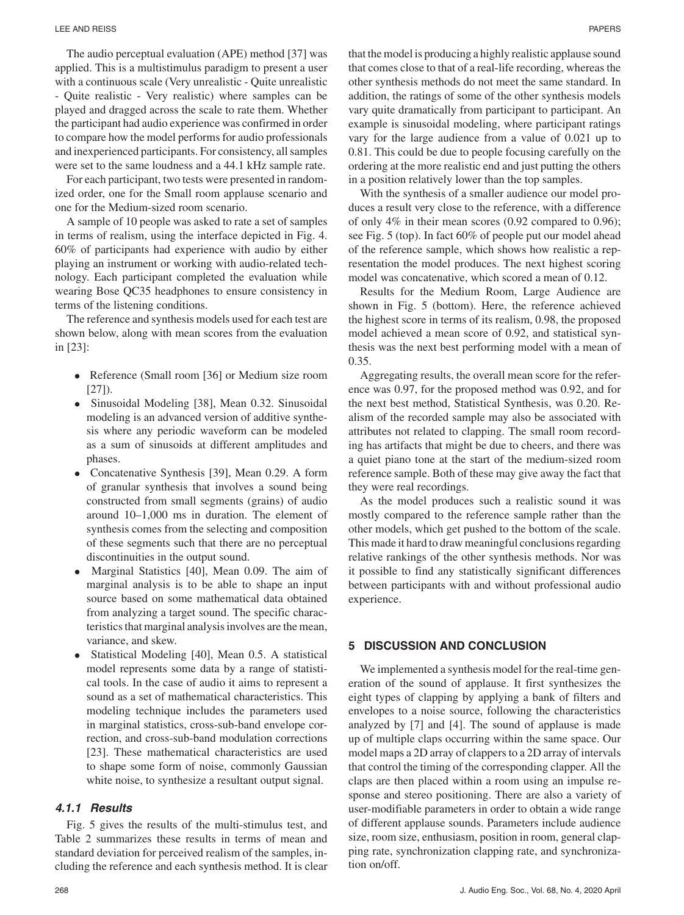The audio perceptual evaluation (APE) method [37] was applied. This is a multistimulus paradigm to present a user with a continuous scale (Very unrealistic - Quite unrealistic - Quite realistic - Very realistic) where samples can be played and dragged across the scale to rate them. Whether the participant had audio experience was confirmed in order to compare how the model performs for audio professionals and inexperienced participants. For consistency, all samples were set to the same loudness and a 44.1 kHz sample rate.

For each participant, two tests were presented in randomized order, one for the Small room applause scenario and one for the Medium-sized room scenario.

A sample of 10 people was asked to rate a set of samples in terms of realism, using the interface depicted in Fig. 4. 60% of participants had experience with audio by either playing an instrument or working with audio-related technology. Each participant completed the evaluation while wearing Bose QC35 headphones to ensure consistency in terms of the listening conditions.

The reference and synthesis models used for each test are shown below, along with mean scores from the evaluation in [23]:

- Reference (Small room [36] or Medium size room  $[27]$ .
- Sinusoidal Modeling [38], Mean 0.32. Sinusoidal modeling is an advanced version of additive synthesis where any periodic waveform can be modeled as a sum of sinusoids at different amplitudes and phases.
- Concatenative Synthesis [39], Mean 0.29. A form of granular synthesis that involves a sound being constructed from small segments (grains) of audio around 10–1,000 ms in duration. The element of synthesis comes from the selecting and composition of these segments such that there are no perceptual discontinuities in the output sound.
- Marginal Statistics [40], Mean 0.09. The aim of marginal analysis is to be able to shape an input source based on some mathematical data obtained from analyzing a target sound. The specific characteristics that marginal analysis involves are the mean, variance, and skew.
- Statistical Modeling [40], Mean 0.5. A statistical model represents some data by a range of statistical tools. In the case of audio it aims to represent a sound as a set of mathematical characteristics. This modeling technique includes the parameters used in marginal statistics, cross-sub-band envelope correction, and cross-sub-band modulation corrections [23]. These mathematical characteristics are used to shape some form of noise, commonly Gaussian white noise, to synthesize a resultant output signal.

# *4.1.1 Results*

Fig. 5 gives the results of the multi-stimulus test, and Table 2 summarizes these results in terms of mean and standard deviation for perceived realism of the samples, including the reference and each synthesis method. It is clear

that the model is producing a highly realistic applause sound that comes close to that of a real-life recording, whereas the other synthesis methods do not meet the same standard. In addition, the ratings of some of the other synthesis models vary quite dramatically from participant to participant. An example is sinusoidal modeling, where participant ratings vary for the large audience from a value of 0.021 up to 0.81. This could be due to people focusing carefully on the ordering at the more realistic end and just putting the others in a position relatively lower than the top samples.

With the synthesis of a smaller audience our model produces a result very close to the reference, with a difference of only 4% in their mean scores (0.92 compared to 0.96); see Fig. 5 (top). In fact 60% of people put our model ahead of the reference sample, which shows how realistic a representation the model produces. The next highest scoring model was concatenative, which scored a mean of 0.12.

Results for the Medium Room, Large Audience are shown in Fig. 5 (bottom). Here, the reference achieved the highest score in terms of its realism, 0.98, the proposed model achieved a mean score of 0.92, and statistical synthesis was the next best performing model with a mean of 0.35.

Aggregating results, the overall mean score for the reference was 0.97, for the proposed method was 0.92, and for the next best method, Statistical Synthesis, was 0.20. Realism of the recorded sample may also be associated with attributes not related to clapping. The small room recording has artifacts that might be due to cheers, and there was a quiet piano tone at the start of the medium-sized room reference sample. Both of these may give away the fact that they were real recordings.

As the model produces such a realistic sound it was mostly compared to the reference sample rather than the other models, which get pushed to the bottom of the scale. This made it hard to draw meaningful conclusions regarding relative rankings of the other synthesis methods. Nor was it possible to find any statistically significant differences between participants with and without professional audio experience.

# **5 DISCUSSION AND CONCLUSION**

We implemented a synthesis model for the real-time generation of the sound of applause. It first synthesizes the eight types of clapping by applying a bank of filters and envelopes to a noise source, following the characteristics analyzed by [7] and [4]. The sound of applause is made up of multiple claps occurring within the same space. Our model maps a 2D array of clappers to a 2D array of intervals that control the timing of the corresponding clapper. All the claps are then placed within a room using an impulse response and stereo positioning. There are also a variety of user-modifiable parameters in order to obtain a wide range of different applause sounds. Parameters include audience size, room size, enthusiasm, position in room, general clapping rate, synchronization clapping rate, and synchronization on/off.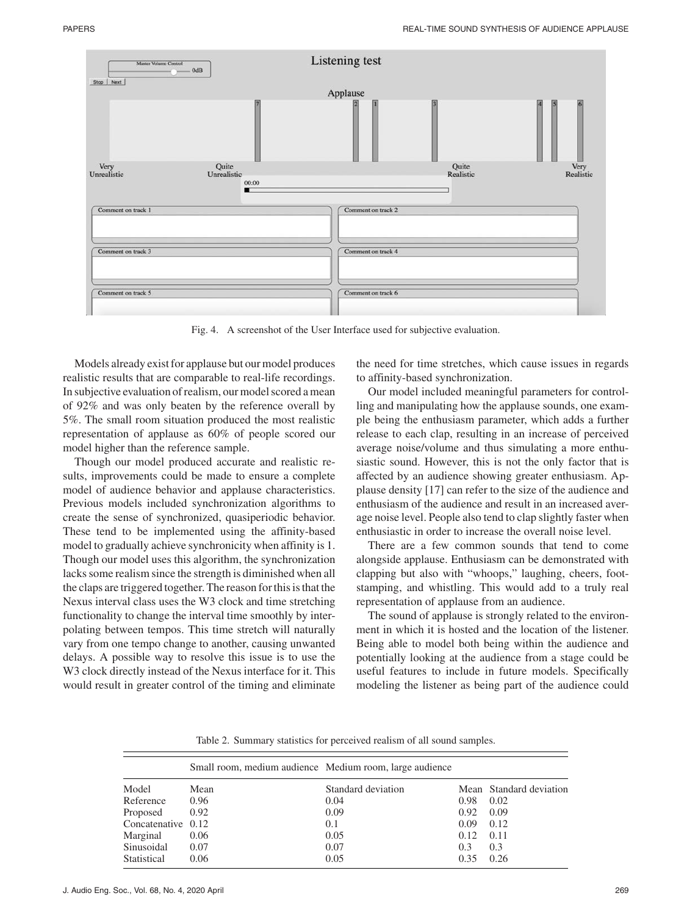

Fig. 4. A screenshot of the User Interface used for subjective evaluation.

Models already exist for applause but our model produces realistic results that are comparable to real-life recordings. In subjective evaluation of realism, our model scored a mean of 92% and was only beaten by the reference overall by 5%. The small room situation produced the most realistic representation of applause as 60% of people scored our model higher than the reference sample.

Though our model produced accurate and realistic results, improvements could be made to ensure a complete model of audience behavior and applause characteristics. Previous models included synchronization algorithms to create the sense of synchronized, quasiperiodic behavior. These tend to be implemented using the affinity-based model to gradually achieve synchronicity when affinity is 1. Though our model uses this algorithm, the synchronization lacks some realism since the strength is diminished when all the claps are triggered together. The reason for this is that the Nexus interval class uses the W3 clock and time stretching functionality to change the interval time smoothly by interpolating between tempos. This time stretch will naturally vary from one tempo change to another, causing unwanted delays. A possible way to resolve this issue is to use the W3 clock directly instead of the Nexus interface for it. This would result in greater control of the timing and eliminate the need for time stretches, which cause issues in regards to affinity-based synchronization.

Our model included meaningful parameters for controlling and manipulating how the applause sounds, one example being the enthusiasm parameter, which adds a further release to each clap, resulting in an increase of perceived average noise/volume and thus simulating a more enthusiastic sound. However, this is not the only factor that is affected by an audience showing greater enthusiasm. Applause density [17] can refer to the size of the audience and enthusiasm of the audience and result in an increased average noise level. People also tend to clap slightly faster when enthusiastic in order to increase the overall noise level.

There are a few common sounds that tend to come alongside applause. Enthusiasm can be demonstrated with clapping but also with "whoops," laughing, cheers, footstamping, and whistling. This would add to a truly real representation of applause from an audience.

The sound of applause is strongly related to the environment in which it is hosted and the location of the listener. Being able to model both being within the audience and potentially looking at the audience from a stage could be useful features to include in future models. Specifically modeling the listener as being part of the audience could

Table 2. Summary statistics for perceived realism of all sound samples.

|                    |      | Small room, medium audience Medium room, large audience |      |                         |
|--------------------|------|---------------------------------------------------------|------|-------------------------|
| Model              | Mean | Standard deviation                                      |      | Mean Standard deviation |
| Reference          | 0.96 | 0.04                                                    | 0.98 | 0.02                    |
| Proposed           | 0.92 | 0.09                                                    | 0.92 | 0.09                    |
| Concatenative 0.12 |      | 0.1                                                     | 0.09 | 0.12                    |
| Marginal           | 0.06 | 0.05                                                    | 0.12 | 0.11                    |
| Sinusoidal         | 0.07 | 0.07                                                    | 0.3  | 0.3                     |
| Statistical        | 0.06 | 0.05                                                    | 0.35 | 0.26                    |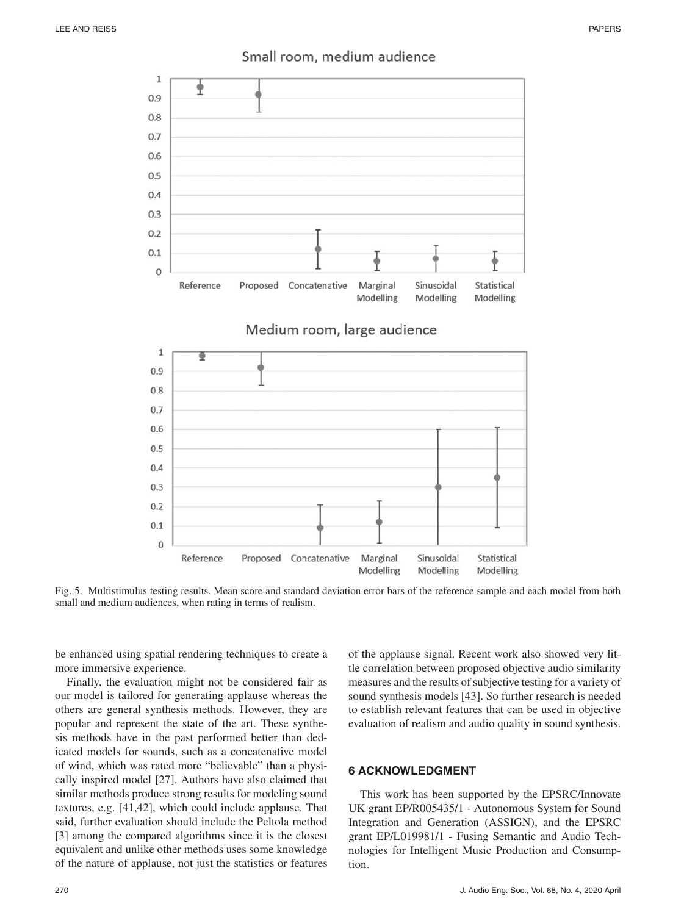

# Small room, medium audience

Fig. 5. Multistimulus testing results. Mean score and standard deviation error bars of the reference sample and each model from both small and medium audiences, when rating in terms of realism.

be enhanced using spatial rendering techniques to create a more immersive experience.

Finally, the evaluation might not be considered fair as our model is tailored for generating applause whereas the others are general synthesis methods. However, they are popular and represent the state of the art. These synthesis methods have in the past performed better than dedicated models for sounds, such as a concatenative model of wind, which was rated more "believable" than a physically inspired model [27]. Authors have also claimed that similar methods produce strong results for modeling sound textures, e.g. [41,42], which could include applause. That said, further evaluation should include the Peltola method [3] among the compared algorithms since it is the closest equivalent and unlike other methods uses some knowledge of the nature of applause, not just the statistics or features of the applause signal. Recent work also showed very little correlation between proposed objective audio similarity measures and the results of subjective testing for a variety of sound synthesis models [43]. So further research is needed to establish relevant features that can be used in objective evaluation of realism and audio quality in sound synthesis.

# **6 ACKNOWLEDGMENT**

This work has been supported by the EPSRC/Innovate UK grant EP/R005435/1 - Autonomous System for Sound Integration and Generation (ASSIGN), and the EPSRC grant EP/L019981/1 - Fusing Semantic and Audio Technologies for Intelligent Music Production and Consumption.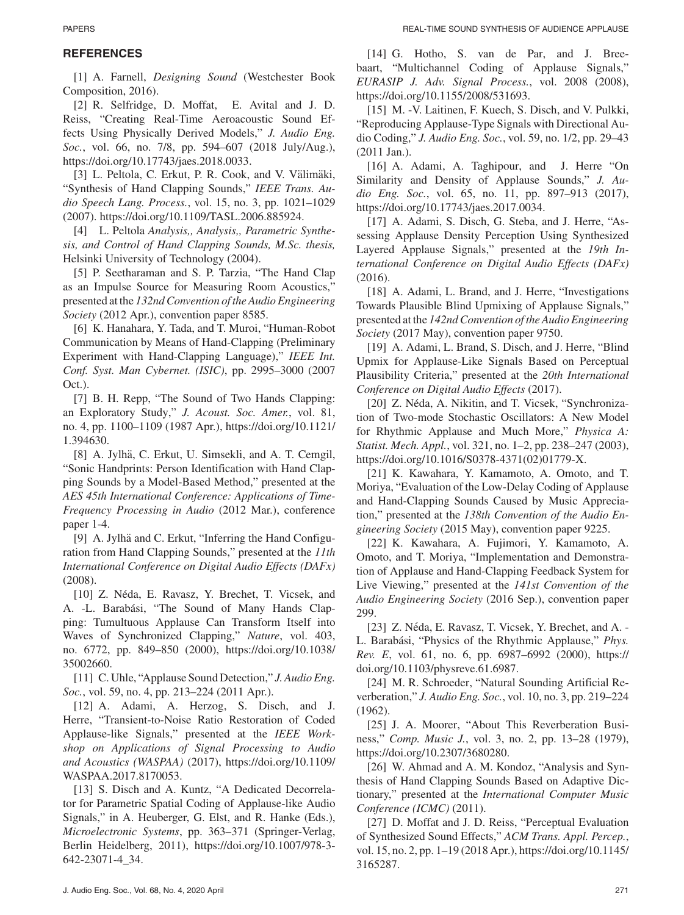# **REFERENCES**

[1] A. Farnell, *Designing Sound* (Westchester Book Composition, 2016).

[2] R. Selfridge, D. Moffat, E. Avital and J. D. Reiss, "Creating Real-Time Aeroacoustic Sound Effects Using Physically Derived Models," *J. Audio Eng. Soc.*, vol. 66, no. 7/8, pp. 594–607 (2018 July/Aug.), https://doi.org/10.17743/jaes.2018.0033.

[3] L. Peltola, C. Erkut, P. R. Cook, and V. Välimäki, "Synthesis of Hand Clapping Sounds," *IEEE Trans. Audio Speech Lang. Process.*, vol. 15, no. 3, pp. 1021–1029 (2007). https://doi.org/10.1109/TASL.2006.885924.

[4] L. Peltola *Analysis,, Analysis,, Parametric Synthesis, and Control of Hand Clapping Sounds, M.Sc. thesis,* Helsinki University of Technology (2004).

[5] P. Seetharaman and S. P. Tarzia, "The Hand Clap as an Impulse Source for Measuring Room Acoustics,' presented at the *132nd Convention of the Audio Engineering Society* (2012 Apr.), convention paper 8585.

[6] K. Hanahara, Y. Tada, and T. Muroi, "Human-Robot Communication by Means of Hand-Clapping (Preliminary Experiment with Hand-Clapping Language)," *IEEE Int. Conf. Syst. Man Cybernet. (ISIC)*, pp. 2995–3000 (2007 Oct.).

[7] B. H. Repp, "The Sound of Two Hands Clapping: an Exploratory Study," *J. Acoust. Soc. Amer.*, vol. 81, no. 4, pp. 1100–1109 (1987 Apr.), https://doi.org/10.1121/ 1.394630.

[8] A. Jylhä, C. Erkut, U. Simsekli, and A. T. Cemgil, "Sonic Handprints: Person Identification with Hand Clapping Sounds by a Model-Based Method," presented at the *AES 45th International Conference: Applications of Time-Frequency Processing in Audio* (2012 Mar.), conference paper 1-4.

[9] A. Jylhä and C. Erkut, "Inferring the Hand Configuration from Hand Clapping Sounds," presented at the *11th International Conference on Digital Audio Effects (DAFx)* (2008).

[10] Z. Néda, E. Ravasz, Y. Brechet, T. Vicsek, and A. -L. Barabási, "The Sound of Many Hands Clapping: Tumultuous Applause Can Transform Itself into Waves of Synchronized Clapping," *Nature*, vol. 403, no. 6772, pp. 849–850 (2000), https://doi.org/10.1038/ 35002660.

[11] C. Uhle, "Applause Sound Detection," *J. Audio Eng. Soc.*, vol. 59, no. 4, pp. 213–224 (2011 Apr.).

[12] A. Adami, A. Herzog, S. Disch, and J. Herre, "Transient-to-Noise Ratio Restoration of Coded Applause-like Signals," presented at the *IEEE Workshop on Applications of Signal Processing to Audio and Acoustics (WASPAA)* (2017), https://doi.org/10.1109/ WASPAA.2017.8170053.

[13] S. Disch and A. Kuntz, "A Dedicated Decorrelator for Parametric Spatial Coding of Applause-like Audio Signals," in A. Heuberger, G. Elst, and R. Hanke (Eds.), *Microelectronic Systems*, pp. 363–371 (Springer-Verlag, Berlin Heidelberg, 2011), https://doi.org/10.1007/978-3- 642-23071-4\_34.

[14] G. Hotho, S. van de Par, and J. Breebaart, "Multichannel Coding of Applause Signals," *EURASIP J. Adv. Signal Process.*, vol. 2008 (2008), https://doi.org/10.1155/2008/531693.

[15] M. -V. Laitinen, F. Kuech, S. Disch, and V. Pulkki, "Reproducing Applause-Type Signals with Directional Audio Coding," *J. Audio Eng. Soc.*, vol. 59, no. 1/2, pp. 29–43 (2011 Jan.).

[16] A. Adami, A. Taghipour, and J. Herre "On Similarity and Density of Applause Sounds," *J. Audio Eng. Soc.*, vol. 65, no. 11, pp. 897–913 (2017), https://doi.org/10.17743/jaes.2017.0034.

[17] A. Adami, S. Disch, G. Steba, and J. Herre, "Assessing Applause Density Perception Using Synthesized Layered Applause Signals," presented at the *19th International Conference on Digital Audio Effects (DAFx)* (2016).

[18] A. Adami, L. Brand, and J. Herre, "Investigations Towards Plausible Blind Upmixing of Applause Signals," presented at the *142nd Convention of the Audio Engineering Society* (2017 May), convention paper 9750.

[19] A. Adami, L. Brand, S. Disch, and J. Herre, "Blind" Upmix for Applause-Like Signals Based on Perceptual Plausibility Criteria," presented at the *20th International Conference on Digital Audio Effects* (2017).

[20] Z. Néda, A. Nikitin, and T. Vicsek, "Synchronization of Two-mode Stochastic Oscillators: A New Model for Rhythmic Applause and Much More," *Physica A: Statist. Mech. Appl.*, vol. 321, no. 1–2, pp. 238–247 (2003), https://doi.org/10.1016/S0378-4371(02)01779-X.

[21] K. Kawahara, Y. Kamamoto, A. Omoto, and T. Moriya, "Evaluation of the Low-Delay Coding of Applause and Hand-Clapping Sounds Caused by Music Appreciation," presented at the *138th Convention of the Audio Engineering Society* (2015 May), convention paper 9225.

[22] K. Kawahara, A. Fujimori, Y. Kamamoto, A. Omoto, and T. Moriya, "Implementation and Demonstration of Applause and Hand-Clapping Feedback System for Live Viewing," presented at the *141st Convention of the Audio Engineering Society* (2016 Sep.), convention paper 299.

[23] Z. Néda, E. Ravasz, T. Vicsek, Y. Brechet, and A. -L. Barabási, "Physics of the Rhythmic Applause," *Phys. Rev. E*, vol. 61, no. 6, pp. 6987–6992 (2000), https:// doi.org/10.1103/physreve.61.6987.

[24] M. R. Schroeder, "Natural Sounding Artificial Reverberation," *J. Audio Eng. Soc.*, vol. 10, no. 3, pp. 219–224 (1962).

[25] J. A. Moorer, "About This Reverberation Business," *Comp. Music J.*, vol. 3, no. 2, pp. 13–28 (1979), https://doi.org/10.2307/3680280.

[26] W. Ahmad and A. M. Kondoz, "Analysis and Synthesis of Hand Clapping Sounds Based on Adaptive Dictionary," presented at the *International Computer Music Conference (ICMC)* (2011).

[27] D. Moffat and J. D. Reiss, "Perceptual Evaluation of Synthesized Sound Effects," *ACM Trans. Appl. Percep.*, vol. 15, no. 2, pp. 1–19 (2018 Apr.), https://doi.org/10.1145/ 3165287.